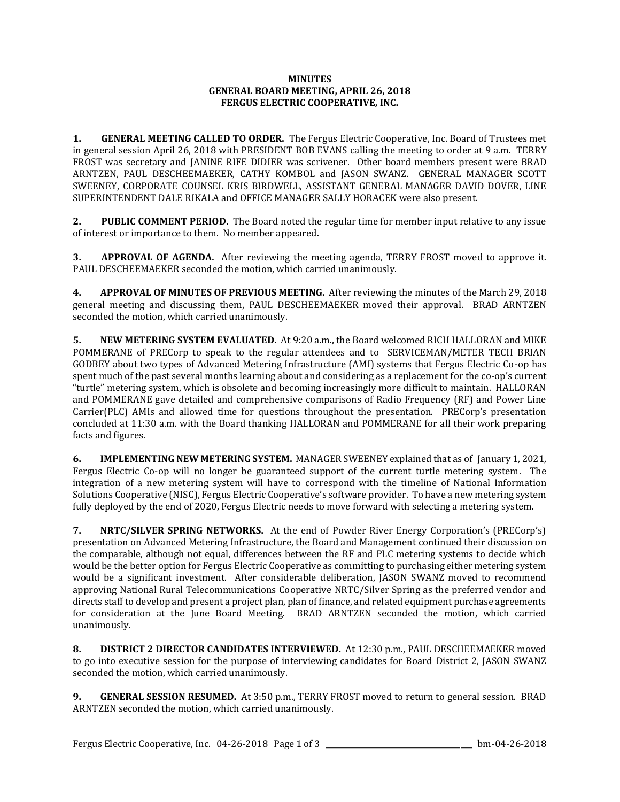## **MINUTES GENERAL BOARD MEETING, APRIL 26, 2018 FERGUS ELECTRIC COOPERATIVE, INC.**

**1. GENERAL MEETING CALLED TO ORDER.** The Fergus Electric Cooperative, Inc. Board of Trustees met in general session April 26, 2018 with PRESIDENT BOB EVANS calling the meeting to order at 9 a.m. TERRY FROST was secretary and JANINE RIFE DIDIER was scrivener. Other board members present were BRAD ARNTZEN, PAUL DESCHEEMAEKER, CATHY KOMBOL and JASON SWANZ. GENERAL MANAGER SCOTT SWEENEY, CORPORATE COUNSEL KRIS BIRDWELL, ASSISTANT GENERAL MANAGER DAVID DOVER, LINE SUPERINTENDENT DALE RIKALA and OFFICE MANAGER SALLY HORACEK were also present.

**2. PUBLIC COMMENT PERIOD.** The Board noted the regular time for member input relative to any issue of interest or importance to them. No member appeared.

**3. APPROVAL OF AGENDA.** After reviewing the meeting agenda, TERRY FROST moved to approve it. PAUL DESCHEEMAEKER seconded the motion, which carried unanimously.

**4. APPROVAL OF MINUTES OF PREVIOUS MEETING.** After reviewing the minutes of the March 29, 2018 general meeting and discussing them, PAUL DESCHEEMAEKER moved their approval. BRAD ARNTZEN seconded the motion, which carried unanimously.

**5. NEW METERING SYSTEM EVALUATED.** At 9:20 a.m., the Board welcomed RICH HALLORAN and MIKE POMMERANE of PRECorp to speak to the regular attendees and to SERVICEMAN/METER TECH BRIAN GODBEY about two types of Advanced Metering Infrastructure (AMI) systems that Fergus Electric Co-op has spent much of the past several months learning about and considering as a replacement for the co-op's current "turtle" metering system, which is obsolete and becoming increasingly more difficult to maintain. HALLORAN and POMMERANE gave detailed and comprehensive comparisons of Radio Frequency (RF) and Power Line Carrier(PLC) AMIs and allowed time for questions throughout the presentation. PRECorp's presentation concluded at 11:30 a.m. with the Board thanking HALLORAN and POMMERANE for all their work preparing facts and figures.

**6. IMPLEMENTING NEW METERING SYSTEM.** MANAGER SWEENEY explained that as of January 1, 2021, Fergus Electric Co-op will no longer be guaranteed support of the current turtle metering system. The integration of a new metering system will have to correspond with the timeline of National Information Solutions Cooperative (NISC), Fergus Electric Cooperative's software provider. To have a new metering system fully deployed by the end of 2020, Fergus Electric needs to move forward with selecting a metering system.

**7. NRTC/SILVER SPRING NETWORKS.** At the end of Powder River Energy Corporation's (PRECorp's) presentation on Advanced Metering Infrastructure, the Board and Management continued their discussion on the comparable, although not equal, differences between the RF and PLC metering systems to decide which would be the better option for Fergus Electric Cooperative as committing to purchasing either metering system would be a significant investment. After considerable deliberation, JASON SWANZ moved to recommend approving National Rural Telecommunications Cooperative NRTC/Silver Spring as the preferred vendor and directs staff to develop and present a project plan, plan of finance, and related equipment purchase agreements for consideration at the June Board Meeting. BRAD ARNTZEN seconded the motion, which carried unanimously.

**8. DISTRICT 2 DIRECTOR CANDIDATES INTERVIEWED.** At 12:30 p.m., PAUL DESCHEEMAEKER moved to go into executive session for the purpose of interviewing candidates for Board District 2, JASON SWANZ seconded the motion, which carried unanimously.

**9. GENERAL SESSION RESUMED.** At 3:50 p.m., TERRY FROST moved to return to general session. BRAD ARNTZEN seconded the motion, which carried unanimously.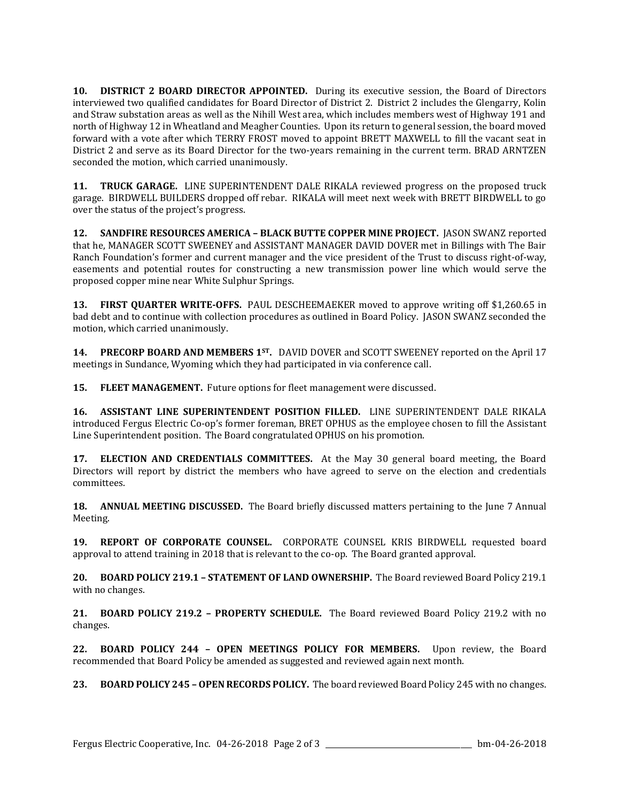**10. DISTRICT 2 BOARD DIRECTOR APPOINTED.** During its executive session, the Board of Directors interviewed two qualified candidates for Board Director of District 2. District 2 includes the Glengarry, Kolin and Straw substation areas as well as the Nihill West area, which includes members west of Highway 191 and north of Highway 12 in Wheatland and Meagher Counties. Upon its return to general session, the board moved forward with a vote after which TERRY FROST moved to appoint BRETT MAXWELL to fill the vacant seat in District 2 and serve as its Board Director for the two-years remaining in the current term. BRAD ARNTZEN seconded the motion, which carried unanimously.

**11. TRUCK GARAGE.** LINE SUPERINTENDENT DALE RIKALA reviewed progress on the proposed truck garage. BIRDWELL BUILDERS dropped off rebar. RIKALA will meet next week with BRETT BIRDWELL to go over the status of the project's progress.

**12. SANDFIRE RESOURCES AMERICA – BLACK BUTTE COPPER MINE PROJECT.** JASON SWANZ reported that he, MANAGER SCOTT SWEENEY and ASSISTANT MANAGER DAVID DOVER met in Billings with The Bair Ranch Foundation's former and current manager and the vice president of the Trust to discuss right-of-way, easements and potential routes for constructing a new transmission power line which would serve the proposed copper mine near White Sulphur Springs.

**13. FIRST QUARTER WRITE-OFFS.** PAUL DESCHEEMAEKER moved to approve writing off \$1,260.65 in bad debt and to continue with collection procedures as outlined in Board Policy. JASON SWANZ seconded the motion, which carried unanimously.

**14. PRECORP BOARD AND MEMBERS 1ST.** DAVID DOVER and SCOTT SWEENEY reported on the April 17 meetings in Sundance, Wyoming which they had participated in via conference call.

**15. FLEET MANAGEMENT.** Future options for fleet management were discussed.

**16. ASSISTANT LINE SUPERINTENDENT POSITION FILLED.** LINE SUPERINTENDENT DALE RIKALA introduced Fergus Electric Co-op's former foreman, BRET OPHUS as the employee chosen to fill the Assistant Line Superintendent position. The Board congratulated OPHUS on his promotion.

**17. ELECTION AND CREDENTIALS COMMITTEES.** At the May 30 general board meeting, the Board Directors will report by district the members who have agreed to serve on the election and credentials committees.

**18. ANNUAL MEETING DISCUSSED.** The Board briefly discussed matters pertaining to the June 7 Annual Meeting.

**19. REPORT OF CORPORATE COUNSEL.** CORPORATE COUNSEL KRIS BIRDWELL requested board approval to attend training in 2018 that is relevant to the co-op. The Board granted approval.

**20. BOARD POLICY 219.1 – STATEMENT OF LAND OWNERSHIP.** The Board reviewed Board Policy 219.1 with no changes.

**21. BOARD POLICY 219.2 – PROPERTY SCHEDULE.** The Board reviewed Board Policy 219.2 with no changes.

**22. BOARD POLICY 244 – OPEN MEETINGS POLICY FOR MEMBERS.** Upon review, the Board recommended that Board Policy be amended as suggested and reviewed again next month.

**23. BOARD POLICY 245 – OPEN RECORDS POLICY.** The board reviewed Board Policy 245 with no changes.